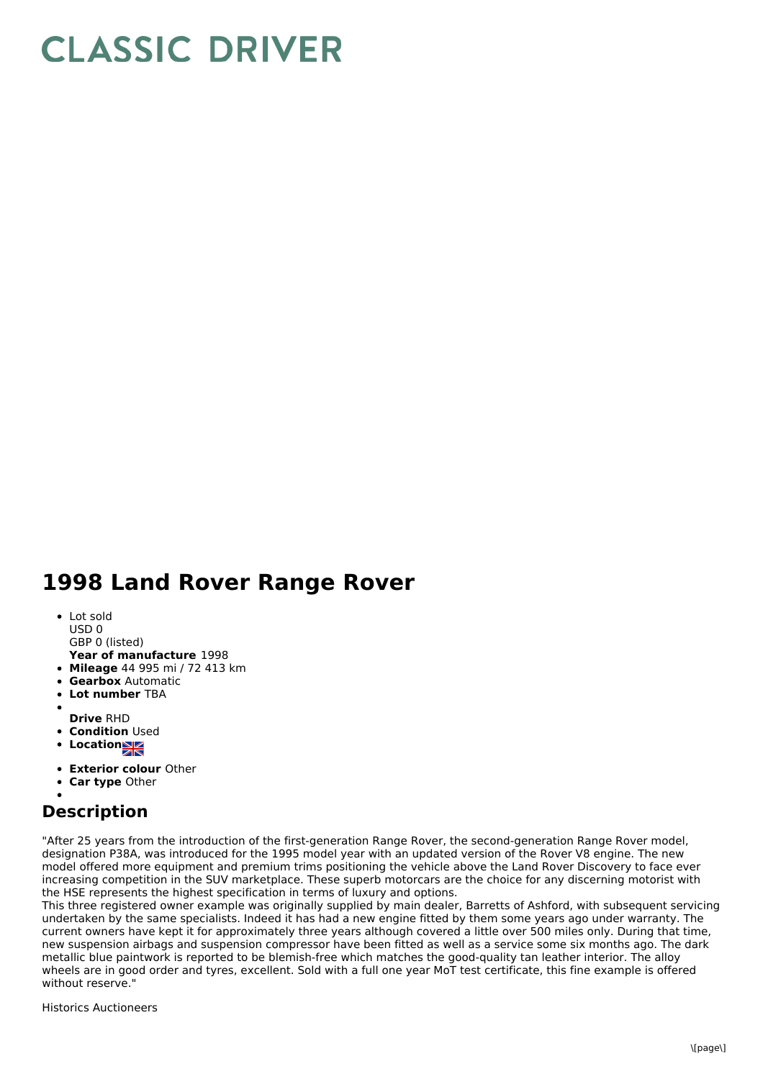## **CLASSIC DRIVER**

## **1998 Land Rover Range Rover**

- Lot sold
- USD 0
- GBP 0 (listed)
- **Year of manufacture** 1998
- **Mileage** 44 995 mi / 72 413 km
- **Gearbox** Automatic
- **Lot number** TBA
- **Drive** RHD
- **Condition Used**
- **Locations**
- 
- **Exterior colour** Other
- **Car type** Other

## **Description**

"After 25 years from the introduction of the first-generation Range Rover, the second-generation Range Rover model, designation P38A, was introduced for the 1995 model year with an updated version of the Rover V8 engine. The new model offered more equipment and premium trims positioning the vehicle above the Land Rover Discovery to face ever increasing competition in the SUV marketplace. These superb motorcars are the choice for any discerning motorist with the HSE represents the highest specification in terms of luxury and options.

This three registered owner example was originally supplied by main dealer, Barretts of Ashford, with subsequent servicing undertaken by the same specialists. Indeed it has had a new engine fitted by them some years ago under warranty. The current owners have kept it for approximately three years although covered a little over 500 miles only. During that time, new suspension airbags and suspension compressor have been fitted as well as a service some six months ago. The dark metallic blue paintwork is reported to be blemish-free which matches the good-quality tan leather interior. The alloy wheels are in good order and tyres, excellent. Sold with a full one year MoT test certificate, this fine example is offered without reserve."

Historics Auctioneers